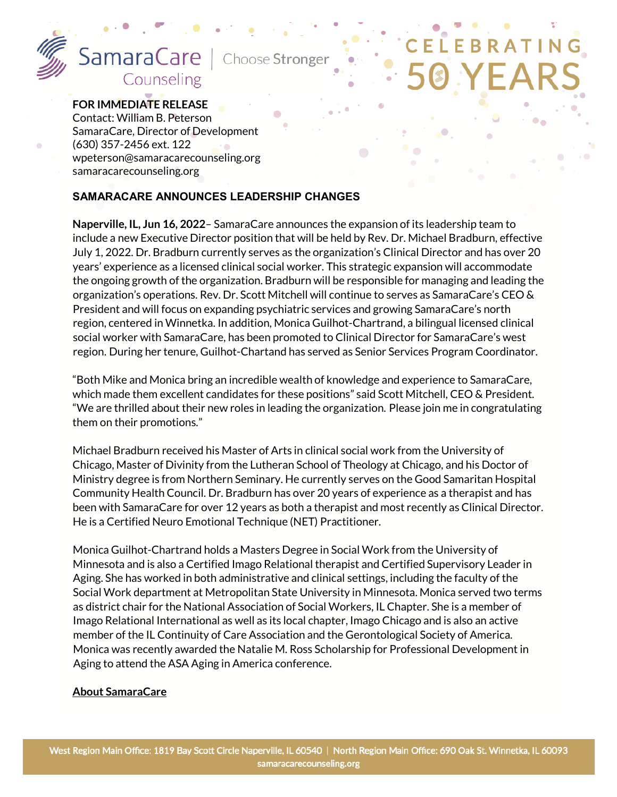

 $\bullet$ 

# **FOR IMMEDIATE RELEASE**

Contact: William B. Peterson SamaraCare, Director of Development (630) 357-2456 ext. 122 wpeterson@samaracarecounseling.org samaracarecounseling.org

### **SAMARACARE ANNOUNCES LEADERSHIP CHANGES**

**Naperville, IL, Jun 16, 2022**– SamaraCare announces the expansion of its leadership team to include a new Executive Director position that will be held by Rev. Dr. Michael Bradburn, effective July 1, 2022. Dr. Bradburn currently serves as the organization's Clinical Director and has over 20 years' experience as a licensed clinical social worker. This strategic expansion will accommodate the ongoing growth of the organization. Bradburn will be responsible for managing and leading the organization's operations. Rev. Dr. Scott Mitchell will continue to serves as SamaraCare's CEO & President and will focus on expanding psychiatric services and growing SamaraCare's north region, centered in Winnetka. In addition, Monica Guilhot-Chartrand, a bilingual licensed clinical social worker with SamaraCare, has been promoted to Clinical Director for SamaraCare's west region. During her tenure, Guilhot-Chartand has served as Senior Services Program Coordinator.

"Both Mike and Monica bring an incredible wealth of knowledge and experience to SamaraCare, which made them excellent candidates for these positions" said Scott Mitchell, CEO & President. "We are thrilled about their new roles in leading the organization. Please join me in congratulating them on their promotions."

Michael Bradburn received his Master of Arts in clinical social work from the University of Chicago, Master of Divinity from the Lutheran School of Theology at Chicago, and his Doctor of Ministry degree is from Northern Seminary. He currently serves on the Good Samaritan Hospital Community Health Council. Dr. Bradburn has over 20 years of experience as a therapist and has been with SamaraCare for over 12 years as both a therapist and most recently as Clinical Director. He is a Certified Neuro Emotional Technique (NET) Practitioner.

Monica Guilhot-Chartrand holds a Masters Degree in Social Work from the University of Minnesota and is also a Certified Imago Relational therapist and Certified Supervisory Leader in Aging. She has worked in both administrative and clinical settings, including the faculty of the Social Work department at Metropolitan State University in Minnesota. Monica served two terms as district chair for the National Association of Social Workers, IL Chapter. She is a member of Imago Relational International as well as its local chapter, Imago Chicago and is also an active member of the IL Continuity of Care Association and the Gerontological Society of America. Monica was recently awarded the Natalie M. Ross Scholarship for Professional Developmentin Aging to attend the ASA Aging in America conference.

#### **About SamaraCare**